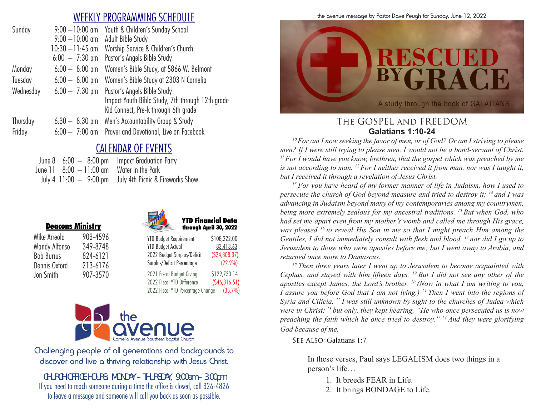# WEEKLY PROGRAMMING SCHEDULE

| Sunday    | $9:00 - 10:00$ am        | Youth & Children's Sunday School                 |
|-----------|--------------------------|--------------------------------------------------|
|           | $9:00 - 10:00$ am        | Adult Bible Study                                |
|           | $10:30 - 11:45$ am       | Worship Service & Children's Church              |
|           | $6:00 - 7:30 \text{ pm}$ | Pastor's Angels Bible Study                      |
| Monday    | $6:00 - 8:00$ pm         | Women's Bible Study, at 5866 W. Belmont          |
| Tuesday   | $6:00 - 8:00$ pm         | Women's Bible Study at 2303 N Cornelia           |
| Wednesday | $6:00 - 7:30$ pm         | Pastor's Angels Bible Study                      |
|           |                          | Impact Youth Bible Study, 7th through 12th grade |
|           |                          | Kid Connect, Pre-k through 6th grade             |
| Thursday  | $6:30 - 8:30$ pm         | Men's Accountability Group & Study               |
| Friday    | $6:00 - 7:00$ am         | Prayer and Devotional, Live on Facebook          |
|           |                          |                                                  |

# CALENDAR OF EVENTS

|                                                        | June $8\quad 6:00\;-\;8:00\;{\rm pm}$ Impact Graduation Party |
|--------------------------------------------------------|---------------------------------------------------------------|
| June $11 \quad 8:00 \quad -11:00$ am Water in the Park |                                                               |
|                                                        | July 4 $11:00 - 9:00$ pm July 4th Picnic & Fireworks Show     |

| <u>РСИМИЯ ШШІЯН І</u> |          |
|-----------------------|----------|
| Mike Arreola          | 903-4596 |
| Mandy Alfonso         | 349-8748 |
| <b>Bob Burrus</b>     | 824-6121 |
| Dennis Oxford         | 213-6176 |
| Jon Smith             | 907-3570 |

Deacons Ministry





| <b>YTD Budget Requirement</b> | \$108,222.00 |
|-------------------------------|--------------|
| <b>YTD Budget Actual</b>      | 83,413.63    |
| 2022 Budget Surplus/Deficit   | (524,808.37) |
| Surplus/Deficit Percentage    | (22.9%)      |

2021 Fiscal Budget Giving \$129,730.14 2022 Fiscal YTD Difference (\$46,316.51) 2022 Fiscal YTD Percentage Change (35.7%)



Challenging people of all generations and backgrounds to discover and live a thriving relationship with Jesus Christ.

*CHURCH OFFICE HOURS: MONDAY – THURSDAY, 9:00am – 3:00pm* If you need to reach someone during a time the office is closed, call 326-4826 to leave a message and someone will call you back as soon as possible.

the avenue message by Pastor Dave Peugh for Sunday, June 12, 2022



### The GOSPEL and FREEDOM **Galatians 1:10-24**

*10 For am I now seeking the favor of men, or of God? Or am I striving to please men? If I were still trying to please men, I would not be a bond-servant of Christ. 11 For I would have you know, brethren, that the gospel which was preached by me is not according to man. 12 For I neither received it from man, nor was I taught it, but I received it through a revelation of Jesus Christ. 13 For you have heard of my former manner of life in Judaism, how I used to* 

*persecute the church of God beyond measure and tried to destroy it; 14 and I was advancing in Judaism beyond many of my contemporaries among my countrymen, being more extremely zealous for my ancestral traditions. 15 But when God, who had set me apart even from my mother's womb and called me through His grace, was pleased 16 to reveal His Son in me so that I might preach Him among the Gentiles, I did not immediately consult with flesh and blood, 17 nor did I go up to Jerusalem to those who were apostles before me; but I went away to Arabia, and returned once more to Damascus. 18 Then three years later I went up to Jerusalem to become acquainted with* 

*Cephas, and stayed with him fifteen days. 19 But I did not see any other of the apostles except James, the Lord's brother. 20 (Now in what I am writing to you, I* assure you before God that *I* am not lying.) <sup>21</sup> Then *I* went into the regions of *Syria and Cilicia. 22 I was still unknown by sight to the churches of Judea which were in Christ; 23 but only, they kept hearing, "He who once persecuted us is now preaching the faith which he once tried to destroy." 24 And they were glorifying God because of me.* 

SEE ALSO: Galatians 1:7

In these verses, Paul says LEGALISM does two things in a person's life…

- 1. It breeds FEAR in Life.
- 2. It brings BONDAGE to Life.